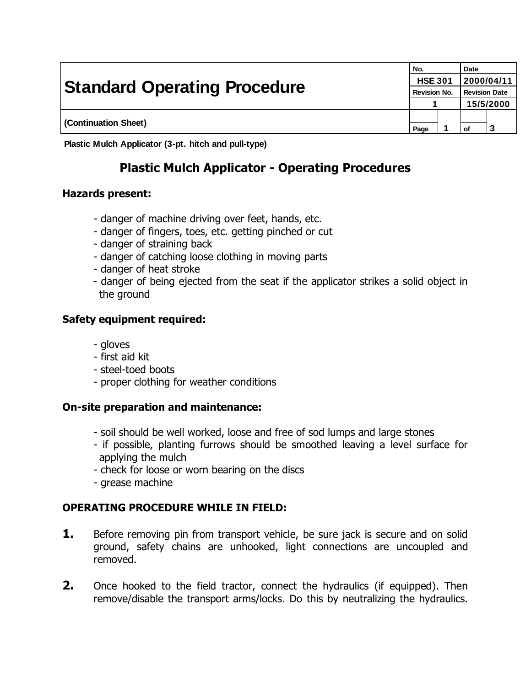| <b>Standard Operating Procedure</b> |      | No.<br><b>HSE 301</b><br><b>Revision No.</b> |    | <b>Date</b><br> 2000/04/11<br><b>Revision Date</b> |  |
|-------------------------------------|------|----------------------------------------------|----|----------------------------------------------------|--|
| (Continuation Sheet)                |      |                                              |    | 15/5/2000                                          |  |
|                                     | Page |                                              | οf |                                                    |  |

**Plastic Mulch Applicator (3-pt. hitch and pull-type)**

# **Plastic Mulch Applicator - Operating Procedures**

### **Hazards present:**

- danger of machine driving over feet, hands, etc.
- danger of fingers, toes, etc. getting pinched or cut
- danger of straining back
- danger of catching loose clothing in moving parts
- danger of heat stroke
- danger of being ejected from the seat if the applicator strikes a solid object in the ground

### **Safety equipment required:**

- gloves
- first aid kit
- steel-toed boots
- proper clothing for weather conditions

### **On-site preparation and maintenance:**

- soil should be well worked, loose and free of sod lumps and large stones
- if possible, planting furrows should be smoothed leaving a level surface for applying the mulch
- check for loose or worn bearing on the discs
- grease machine

# **OPERATING PROCEDURE WHILE IN FIELD:**

- **1.** Before removing pin from transport vehicle, be sure jack is secure and on solid ground, safety chains are unhooked, light connections are uncoupled and removed.
- **2.** Once hooked to the field tractor, connect the hydraulics (if equipped). Then remove/disable the transport arms/locks. Do this by neutralizing the hydraulics.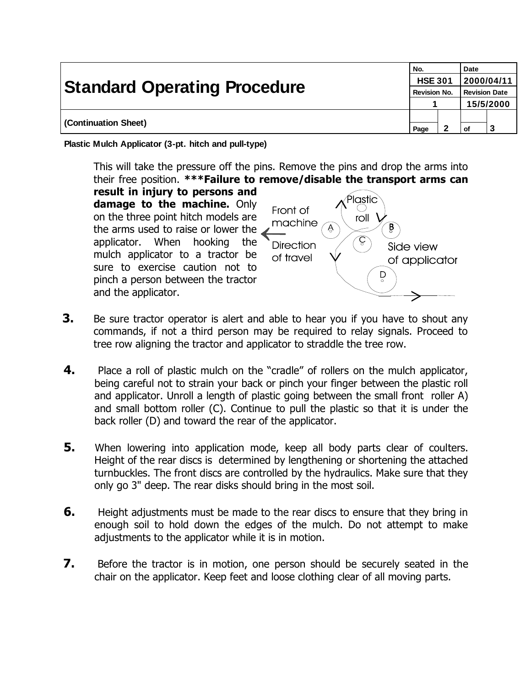| <b>Standard Operating Procedure</b> | No.  | <b>HSE 301</b><br><b>Revision No.</b> |    | Date<br>2000/04/11<br><b>Revision Date</b> |  |
|-------------------------------------|------|---------------------------------------|----|--------------------------------------------|--|
|                                     |      |                                       |    | 15/5/2000                                  |  |
| (Continuation Sheet)                | Page |                                       | оf |                                            |  |

**Plastic Mulch Applicator (3-pt. hitch and pull-type)**

This will take the pressure off the pins. Remove the pins and drop the arms into their free position. **\*\*\*Failure to remove/disable the transport arms can** 

**result in injury to persons and damage to the machine.** Only on the three point hitch models are the arms used to raise or lower the  $\angle$ applicator. When hooking the mulch applicator to a tractor be sure to exercise caution not to pinch a person between the tractor and the applicator.



- **3.** Be sure tractor operator is alert and able to hear you if you have to shout any commands, if not a third person may be required to relay signals. Proceed to tree row aligning the tractor and applicator to straddle the tree row.
- **4.** Place a roll of plastic mulch on the "cradle" of rollers on the mulch applicator, being careful not to strain your back or pinch your finger between the plastic roll and applicator. Unroll a length of plastic going between the small front roller A) and small bottom roller (C). Continue to pull the plastic so that it is under the back roller (D) and toward the rear of the applicator.
- **5.** When lowering into application mode, keep all body parts clear of coulters. Height of the rear discs is determined by lengthening or shortening the attached turnbuckles. The front discs are controlled by the hydraulics. Make sure that they only go 3" deep. The rear disks should bring in the most soil.
- **6.** Height adjustments must be made to the rear discs to ensure that they bring in enough soil to hold down the edges of the mulch. Do not attempt to make adjustments to the applicator while it is in motion.
- **7.** Before the tractor is in motion, one person should be securely seated in the chair on the applicator. Keep feet and loose clothing clear of all moving parts.